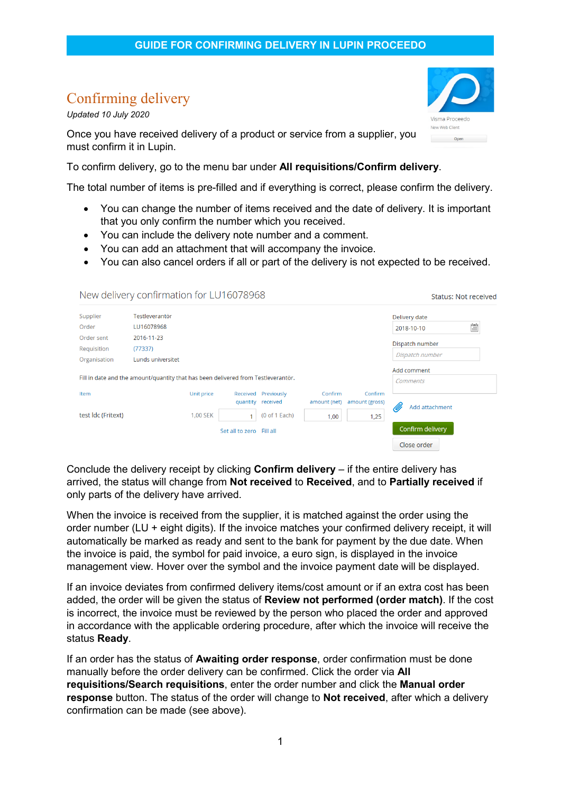## Confirming delivery

*Updated 10 July 2020*

Once you have received delivery of a product or service from a supplier, you must confirm it in Lupin.

To confirm delivery, go to the menu bar under **All requisitions/Confirm delivery**.

The total number of items is pre-filled and if everything is correct, please confirm the delivery.

- You can change the number of items received and the date of delivery. It is important that you only confirm the number which you received.
- You can include the delivery note number and a comment.
- You can add an attachment that will accompany the invoice.
- You can also cancel orders if all or part of the delivery is not expected to be received.

|                                                                                   | New delivery confirmation for LU16078968 |                 |                          |                        |                         |                           | <b>Status: Not received</b> |                      |  |
|-----------------------------------------------------------------------------------|------------------------------------------|-----------------|--------------------------|------------------------|-------------------------|---------------------------|-----------------------------|----------------------|--|
| Supplier                                                                          | Testleverantör                           |                 |                          |                        |                         |                           | Delivery date               |                      |  |
| Order                                                                             | LU16078968                               |                 |                          |                        |                         |                           | 2018-10-10                  | $\frac{t-t}{\cdots}$ |  |
| Order sent<br>Requisition                                                         | 2016-11-23<br>(77337)                    |                 |                          |                        |                         |                           | Dispatch number             |                      |  |
| Organisation                                                                      | Lunds universitet                        |                 |                          |                        |                         |                           | Dispatch number             |                      |  |
| Fill in date and the amount/quantity that has been delivered from Testleverantör. |                                          |                 |                          |                        |                         |                           | Add comment<br>Comments     |                      |  |
| Item                                                                              |                                          | Unit price      | Received<br>quantity     | Previously<br>received | Confirm<br>amount (net) | Confirm<br>amount (gross) | Add attachment<br>Ø         |                      |  |
| test Idc (Fritext)                                                                |                                          | <b>1.00 SEK</b> |                          | (0 of 1 Each)          | 1,00                    | 1,25                      |                             |                      |  |
|                                                                                   |                                          |                 | Set all to zero Fill all |                        |                         |                           | Confirm delivery            |                      |  |
|                                                                                   |                                          |                 |                          |                        |                         |                           | Close order                 |                      |  |

Conclude the delivery receipt by clicking **Confirm delivery** – if the entire delivery has arrived, the status will change from **Not received** to **Received**, and to **Partially received** if only parts of the delivery have arrived.

When the invoice is received from the supplier, it is matched against the order using the order number (LU + eight digits). If the invoice matches your confirmed delivery receipt, it will automatically be marked as ready and sent to the bank for payment by the due date. When the invoice is paid, the symbol for paid invoice, a euro sign, is displayed in the invoice management view. Hover over the symbol and the invoice payment date will be displayed.

If an invoice deviates from confirmed delivery items/cost amount or if an extra cost has been added, the order will be given the status of **Review not performed (order match)**. If the cost is incorrect, the invoice must be reviewed by the person who placed the order and approved in accordance with the applicable ordering procedure, after which the invoice will receive the status **Ready**.

If an order has the status of **Awaiting order response**, order confirmation must be done manually before the order delivery can be confirmed. Click the order via **All requisitions/Search requisitions**, enter the order number and click the **Manual order response** button. The status of the order will change to **Not received**, after which a delivery confirmation can be made (see above).